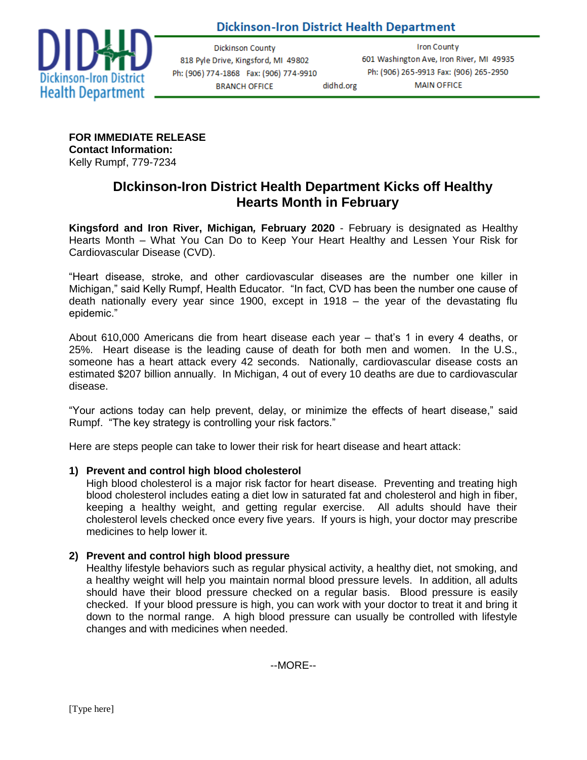**Dickinson-Iron District Health Department** 

didhd.org



**Dickinson County** 818 Pyle Drive, Kingsford, MI 49802 Ph: (906) 774-1868 Fax: (906) 774-9910 **BRANCH OFFICE** 

**Iron County** 601 Washington Ave, Iron River, MI 49935 Ph: (906) 265-9913 Fax: (906) 265-2950 **MAIN OFFICE** 

**FOR IMMEDIATE RELEASE Contact Information:** Kelly Rumpf, 779-7234

# **DIckinson-Iron District Health Department Kicks off Healthy Hearts Month in February**

**Kingsford and Iron River, Michigan***,* **February 2020** - February is designated as Healthy Hearts Month – What You Can Do to Keep Your Heart Healthy and Lessen Your Risk for Cardiovascular Disease (CVD).

"Heart disease, stroke, and other cardiovascular diseases are the number one killer in Michigan," said Kelly Rumpf, Health Educator. "In fact, CVD has been the number one cause of death nationally every year since 1900, except in 1918 – the year of the devastating flu epidemic."

About 610,000 Americans die from heart disease each year – that's 1 in every 4 deaths, or 25%. Heart disease is the leading cause of death for both men and women. In the U.S., someone has a heart attack every 42 seconds. Nationally, cardiovascular disease costs an estimated \$207 billion annually. In Michigan, 4 out of every 10 deaths are due to cardiovascular disease.

"Your actions today can help prevent, delay, or minimize the effects of heart disease," said Rumpf. "The key strategy is controlling your risk factors."

Here are steps people can take to lower their risk for heart disease and heart attack:

### **1) Prevent and control high blood cholesterol**

High blood cholesterol is a major risk factor for heart disease. Preventing and treating high blood cholesterol includes eating a diet low in saturated fat and cholesterol and high in fiber, keeping a healthy weight, and getting regular exercise. All adults should have their cholesterol levels checked once every five years. If yours is high, your doctor may prescribe medicines to help lower it.

### **2) Prevent and control high blood pressure**

Healthy lifestyle behaviors such as regular physical activity, a healthy diet, not smoking, and a healthy weight will help you maintain normal blood pressure levels. In addition, all adults should have their blood pressure checked on a regular basis. Blood pressure is easily checked. If your blood pressure is high, you can work with your doctor to treat it and bring it down to the normal range. A high blood pressure can usually be controlled with lifestyle changes and with medicines when needed.

--MORE--